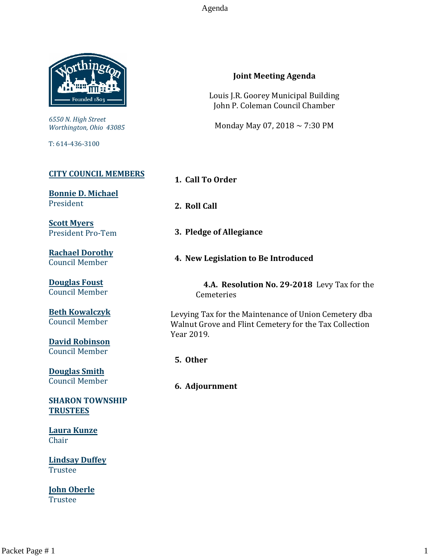Agenda



*6550 N. High Street Worthington, Ohio 43085*

T: 614-436-3100

### **[CITY COUNCIL MEMBERS](mailto:CityCouncil@ci.worthington.oh.us?subject=Email%20from%20City%20Council%20Meeting%20Agenda%20Link)**

**[Bonnie D. Michael](mailto:bmichael@ci.worthington.oh.us?subject=Email%20from%20City%20Council%20Meeting%20Agenda%20Link)** President

**[Scott Myers](mailto:smyers@ci.worthington.oh.us?subject=Email%20from%20City%20Council%20Meeting%20Agenda%20Link)** President Pro-Tem

**[Rachael Dorothy](mailto:rdorothy@ci.worthington.oh.us?subject=Email%20from%20City%20Council%20Meeting%20Agenda%20Link)** Council Member

**[Douglas Foust](mailto:Doug.Foust@ci.worthington.oh.us?subject=Email%20from%20City%20Council%20Meeting%20Agenda%20Link)** Council Member

**[Beth Kowalczyk](mailto:BKowalczyk@ci.worthington.oh.us)** Council Member

**[David Robinson](mailto:DRobinson@ci.worthington.oh.us)** Council Member

**[Douglas Smith](mailto:DSmith@ci.worthington.oh.us?subject=Email%20from%20City%20Council%20Meeting%20Agenda%20Link)** Council Member

**SHARON TOWNSHIP TRUSTEES**

**Laura Kunze** Chair

**Lindsay Duffey** Trustee

**John Oberle** Trustee

## **Joint Meeting Agenda**

Louis J.R. Goorey Municipal Building John P. Coleman Council Chamber

Monday May 07, 2018 ~ 7:30 PM

**1. Call To Order**

**2. Roll Call**

- **3. Pledge of Allegiance**
- **4. New Legislation to Be Introduced**

 **4.A. Resolution No. 29-2018** Levy Tax for the **Cemeteries** 

Levying Tax for the Maintenance of Union Cemetery dba Walnut Grove and Flint Cemetery for the Tax Collection Year 2019.

**5. Other**

**6. Adjournment**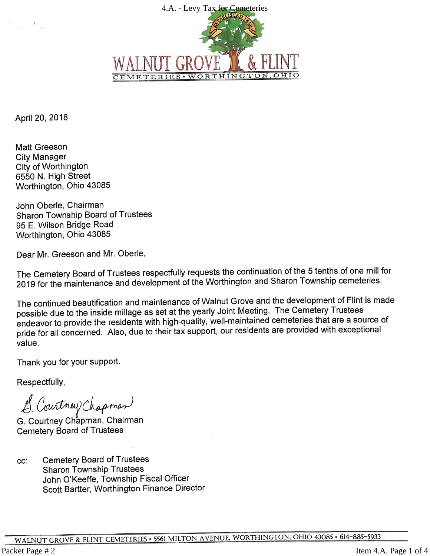

April 20, 2018

**Matt Greeson City Manager** City of Worthington 6550 N. High Street Worthington, Ohio 43085

John Oberle, Chairman **Sharon Township Board of Trustees** 95 E. Wilson Bridge Road Worthington, Ohio 43085

Dear Mr. Greeson and Mr. Oberle,

The Cemetery Board of Trustees respectfully requests the continuation of the 5 tenths of one mill for 2019 for the maintenance and development of the Worthington and Sharon Township cemeteries.

The continued beautification and maintenance of Walnut Grove and the development of Flint is made possible due to the inside millage as set at the yearly Joint Meeting. The Cemetery Trustees endeavor to provide the residents with high-quality, well-maintained cemeteries that are a source of pride for all concerned. Also, due to their tax support, our residents are provided with exceptional value.

Thank you for your support.

Respectfully,

S. Courtney Chapman

G. Courtney Chapman, Chairman **Cemetery Board of Trustees** 

**Cemetery Board of Trustees** CC: **Sharon Township Trustees** John O'Keeffe, Township Fiscal Officer Scott Bartter, Worthington Finance Director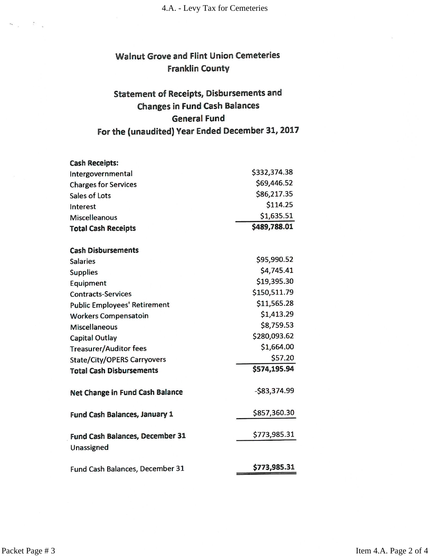# **Walnut Grove and Flint Union Cemeteries Franklin County**

# **Statement of Receipts, Disbursements and Changes in Fund Cash Balances General Fund** For the (unaudited) Year Ended December 31, 2017

| <b>Cash Receipts:</b>                  |              |
|----------------------------------------|--------------|
| Intergovernmental                      | \$332,374.38 |
| <b>Charges for Services</b>            | \$69,446.52  |
| Sales of Lots                          | \$86,217.35  |
| Interest                               | \$114.25     |
| <b>Miscelleanous</b>                   | \$1,635.51   |
| <b>Total Cash Receipts</b>             | \$489,788.01 |
| <b>Cash Disbursements</b>              |              |
| <b>Salaries</b>                        | \$95,990.52  |
| <b>Supplies</b>                        | \$4,745.41   |
| Equipment                              | \$19,395.30  |
| <b>Contracts-Services</b>              | \$150,511.79 |
| <b>Public Employees' Retirement</b>    | \$11,565.28  |
| <b>Workers Compensatoin</b>            | \$1,413.29   |
| <b>Miscellaneous</b>                   | \$8,759.53   |
| <b>Capital Outlay</b>                  | \$280,093.62 |
| <b>Treasurer/Auditor fees</b>          | \$1,664.00   |
| <b>State/City/OPERS Carryovers</b>     | \$57.20      |
| <b>Total Cash Disbursements</b>        | \$574,195.94 |
| Net Change in Fund Cash Balance        | -\$83,374.99 |
| Fund Cash Balances, January 1          | \$857,360.30 |
| <b>Fund Cash Balances, December 31</b> | \$773,985.31 |
| Unassigned                             |              |
| Fund Cash Balances, December 31        | \$773,985.31 |

Packet Page # 3

 $\label{eq:12} \nabla u = \frac{\pi}{\pi} \, ,$ 

Item 4.A. Page 2 of 4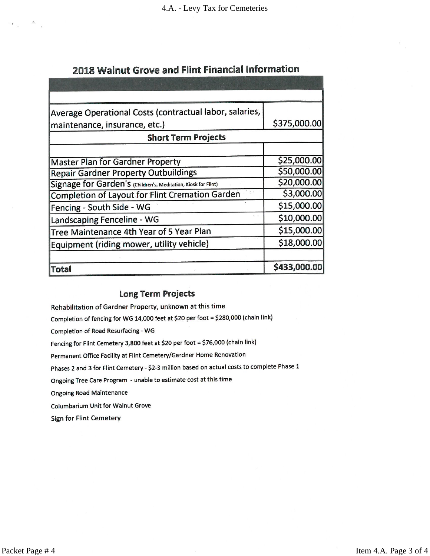# 2018 Walnut Grove and Flint Financial Information

| Average Operational Costs (contractual labor, salaries,        |              |
|----------------------------------------------------------------|--------------|
| maintenance, insurance, etc.)                                  | \$375,000.00 |
| <b>Short Term Projects</b>                                     |              |
|                                                                |              |
| <b>Master Plan for Gardner Property</b>                        | \$25,000.00  |
| <b>Repair Gardner Property Outbuildings</b>                    | \$50,000.00  |
| Signage for Garden's (Children's, Meditation, Kiosk for Flint) | \$20,000.00  |
| Completion of Layout for Flint Cremation Garden                | \$3,000.00   |
| Fencing - South Side - WG                                      | \$15,000.00  |
| Landscaping Fenceline - WG                                     | \$10,000.00  |
| Tree Maintenance 4th Year of 5 Year Plan                       | \$15,000.00  |
| Equipment (riding mower, utility vehicle)                      | \$18,000.00  |
| Total                                                          | \$433,000.00 |

## **Long Term Projects**

Rehabilitation of Gardner Property, unknown at this time

Completion of fencing for WG 14,000 feet at \$20 per foot = \$280,000 (chain link)

Completion of Road Resurfacing - WG

Fencing for Flint Cemetery 3,800 feet at \$20 per foot = \$76,000 (chain link)

Permanent Office Facility at Flint Cemetery/Gardner Home Renovation

Phases 2 and 3 for Flint Cemetery - \$2-3 million based on actual costs to complete Phase 1

Ongoing Tree Care Program - unable to estimate cost at this time

**Ongoing Road Maintenance** 

Columbarium Unit for Walnut Grove

**Sign for Flint Cemetery** 

 $\label{eq:12} \begin{array}{cccccc} \mathcal{P}_{\mathcal{A}} & & & \mathcal{P}_{\mathcal{A}} & & \\ & \mathcal{P}_{\mathcal{A}} & & & \mathcal{P}_{\mathcal{A}} & \\ & & \mathcal{P}_{\mathcal{A}} & & & \mathcal{P}_{\mathcal{A}} \end{array}$